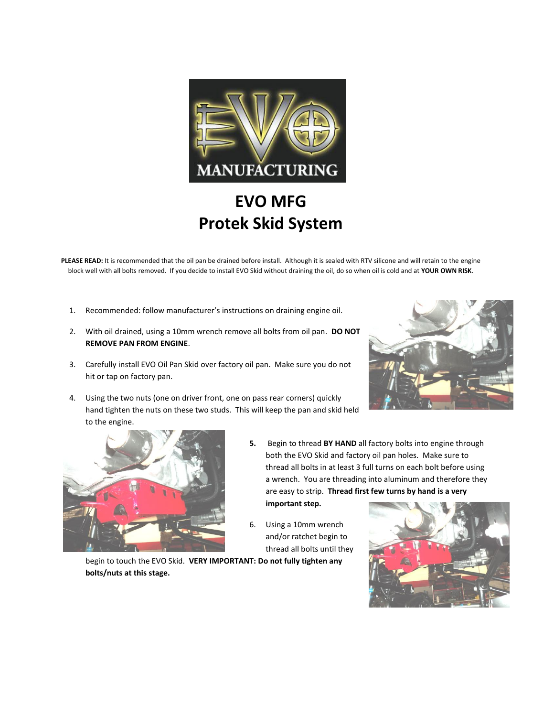

# **EVO MFG Protek Skid System**

PLEASE READ: It is recommended that the oil pan be drained before install. Although it is sealed with RTV silicone and will retain to the engine block well with all bolts removed. If you decide to install EVO Skid without draining the oil, do so when oil is cold and at **YOUR OWN RISK**.

- 1. Recommended: follow manufacturer's instructions on draining engine oil.
- 2. With oil drained, using a 10mm wrench remove all bolts from oil pan. **DO NOT REMOVE PAN FROM ENGINE**.
- 3. Carefully install EVO Oil Pan Skid over factory oil pan. Make sure you do not hit or tap on factory pan.
- 4. Using the two nuts (one on driver front, one on pass rear corners) quickly hand tighten the nuts on these two studs. This will keep the pan and skid held to the engine.





- **5.** Begin to thread **BY HAND** all factory bolts into engine through both the EVO Skid and factory oil pan holes. Make sure to thread all bolts in at least 3 full turns on each bolt before using a wrench. You are threading into aluminum and therefore they are easy to strip. **Thread first few turns by hand is a very important step.**
- 6. Using a 10mm wrench and/or ratchet begin to thread all bolts until they

begin to touch the EVO Skid. **VERY IMPORTANT: Do not fully tighten any bolts/nuts at this stage.**

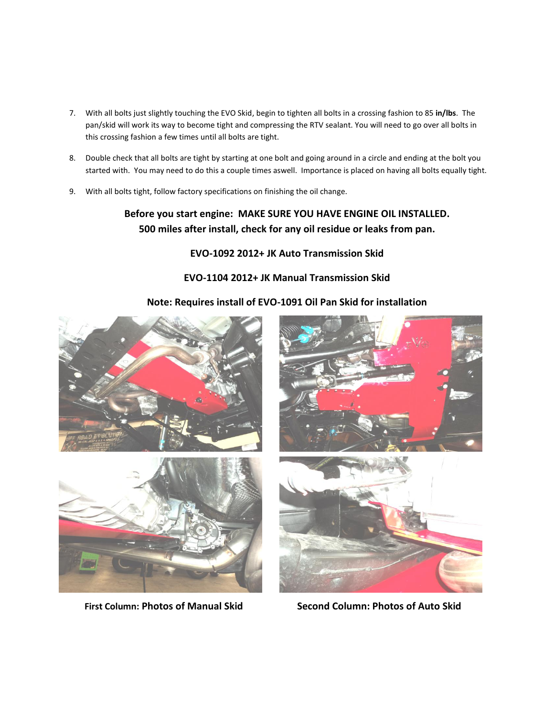- 7. With all bolts just slightly touching the EVO Skid, begin to tighten all bolts in a crossing fashion to 85 **in/lbs**. The pan/skid will work its way to become tight and compressing the RTV sealant. You will need to go over all bolts in this crossing fashion a few times until all bolts are tight.
- 8. Double check that all bolts are tight by starting at one bolt and going around in a circle and ending at the bolt you started with. You may need to do this a couple times aswell. Importance is placed on having all bolts equally tight.
- 9. With all bolts tight, follow factory specifications on finishing the oil change.

## **Before you start engine: MAKE SURE YOU HAVE ENGINE OIL INSTALLED. 500 miles after install, check for any oil residue or leaks from pan.**

### **EVO-1092 2012+ JK Auto Transmission Skid**

#### **EVO-1104 2012+ JK Manual Transmission Skid**

#### **Note: Requires install of EVO-1091 Oil Pan Skid for installation**



 **First Column: Photos of Manual Skid Second Column: Photos of Auto Skid**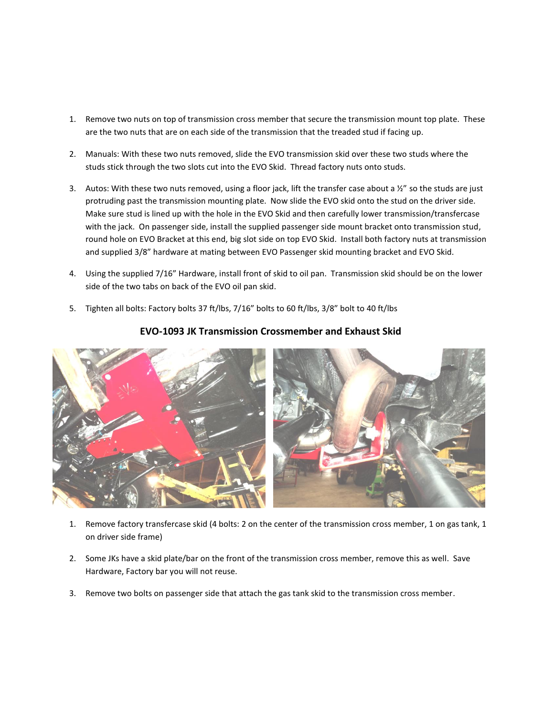- 1. Remove two nuts on top of transmission cross member that secure the transmission mount top plate. These are the two nuts that are on each side of the transmission that the treaded stud if facing up.
- 2. Manuals: With these two nuts removed, slide the EVO transmission skid over these two studs where the studs stick through the two slots cut into the EVO Skid. Thread factory nuts onto studs.
- 3. Autos: With these two nuts removed, using a floor jack, lift the transfer case about a  $\frac{y}{x}$  so the studs are just protruding past the transmission mounting plate. Now slide the EVO skid onto the stud on the driver side. Make sure stud is lined up with the hole in the EVO Skid and then carefully lower transmission/transfercase with the jack. On passenger side, install the supplied passenger side mount bracket onto transmission stud, round hole on EVO Bracket at this end, big slot side on top EVO Skid. Install both factory nuts at transmission and supplied 3/8" hardware at mating between EVO Passenger skid mounting bracket and EVO Skid.
- 4. Using the supplied 7/16" Hardware, install front of skid to oil pan. Transmission skid should be on the lower side of the two tabs on back of the EVO oil pan skid.
- 5. Tighten all bolts: Factory bolts 37 ft/lbs, 7/16" bolts to 60 ft/lbs, 3/8" bolt to 40 ft/lbs



#### **EVO-1093 JK Transmission Crossmember and Exhaust Skid**

- 1. Remove factory transfercase skid (4 bolts: 2 on the center of the transmission cross member, 1 on gas tank, 1 on driver side frame)
- 2. Some JKs have a skid plate/bar on the front of the transmission cross member, remove this as well. Save Hardware, Factory bar you will not reuse.
- 3. Remove two bolts on passenger side that attach the gas tank skid to the transmission cross member.